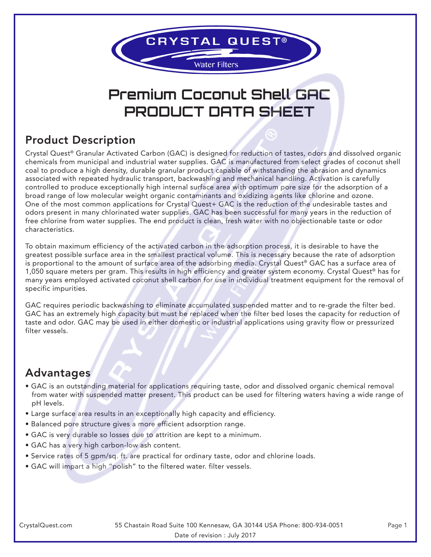

# **Premium Coconut Shell GAC PRODUCT DATA SHEET**

## Product Description

Crystal Quest® Granular Activated Carbon (GAC) is designed for reduction of tastes, odors and dissolved organic chemicals from municipal and industrial water supplies. GAC is manufactured from select grades of coconut shell coal to produce a high density, durable granular product capable of withstanding the abrasion and dynamics associated with repeated hydraulic transport, backwashing and mechanical handling. Activation is carefully controlled to produce exceptionally high internal surface area with optimum pore size for the adsorption of a broad range of low molecular weight organic contaminants and oxidizing agents like chlorine and ozone. One of the most common applications for Crystal Quest+ GAC is the reduction of the undesirable tastes and odors present in many chlorinated water supplies. GAC has been successful for many years in the reduction of free chlorine from water supplies. The end product is clean, fresh water with no objectionable taste or odor characteristics.

To obtain maximum efficiency of the activated carbon in the adsorption process, it is desirable to have the greatest possible surface area in the smallest practical volume. This is necessary because the rate of adsorption is proportional to the amount of surface area of the adsorbing media. Crystal Quest® GAC has a surface area of 1,050 square meters per gram. This results in high efficiency and greater system economy. Crystal Quest<sup>®</sup> has for many years employed activated coconut shell carbon for use in individual treatment equipment for the removal of specific impurities.

GAC requires periodic backwashing to eliminate accumulated suspended matter and to re-grade the filter bed. GAC has an extremely high capacity but must be replaced when the filter bed loses the capacity for reduction of taste and odor. GAC may be used in either domestic or industrial applications using gravity flow or pressurized filter vessels.

#### **Advantages**

- GAC is an outstanding material for applications requiring taste, odor and dissolved organic chemical removal from water with suspended matter present. This product can be used for filtering waters having a wide range of pH levels.
- Large surface area results in an exceptionally high capacity and efficiency.
- Balanced pore structure gives a more efficient adsorption range.
- GAC is very durable so losses due to attrition are kept to a minimum.
- GAC has a very high carbon-low ash content.
- Service rates of 5 gpm/sq. ft. are practical for ordinary taste, odor and chlorine loads.
- GAC will impart a high "polish" to the filtered water. filter vessels.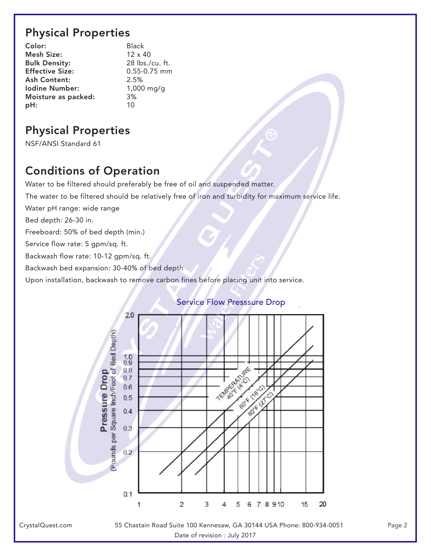### Physical Properties

| Color:                 | <b>Black</b>    |
|------------------------|-----------------|
| Mesh Size:             | $12 \times 40$  |
| <b>Bulk Density:</b>   | 28 lbs./cu. ft. |
| <b>Effective Size:</b> | 0.55-0.75 mm    |
| <b>Ash Content:</b>    | 2.5%            |
| <b>Iodine Number:</b>  | $1,000$ mg/g    |
| Moisture as packed:    | 3%              |
| pH:                    | 10              |

## Physical Properties

NSF/ANSI Standard 61

## Conditions of Operation

Water to be filtered should preferably be free of oil and suspended matter.

The water to be filtered should be relatively free of iron and turbidity for maximum service life.

Water pH range: wide range

Bed depth: 26-30 in.

Freeboard: 50% of bed depth (min.)

Service flow rate: 5 gpm/sq. ft.

Backwash flow rate: 10-12 gpm/sq. ft.

Backwash bed expansion: 30-40% of bed depth

Upon installation, backwash to remove carbon fines before placing unit into service.

#### Service Flow Presssure Drop



55 Chastain Road Suite 100 Kennesaw, GA 30144 USA Phone: 800-934-0051 Page 2 Date of revision : July 2017